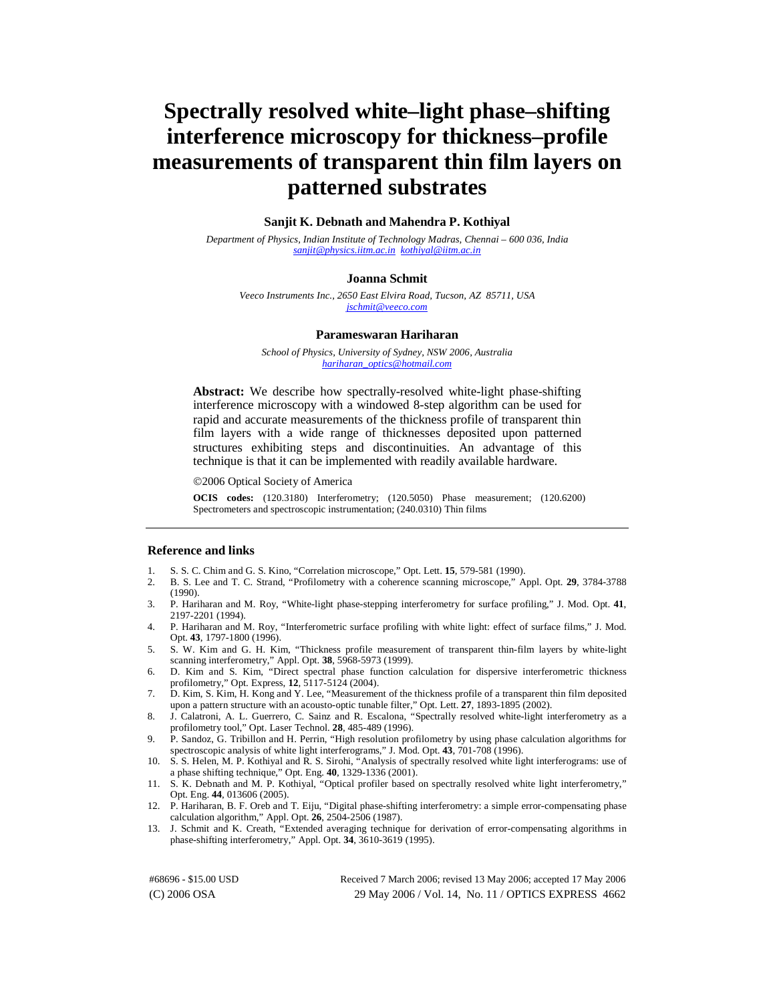# **Spectrally resolved white–light phase–shifting interference microscopy for thickness–profile measurements of transparent thin film layers on patterned substrates**

## **Sanjit K. Debnath and Mahendra P. Kothiyal**

*Department of Physics, Indian Institute of Technology Madras, Chennai – 600 036, India [sanjit@physics.iitm.ac.in k](mailto:sanjit@physics.iitm.ac.in)[othiyal@iitm.ac.in](mailto:kothiyal@iitm.ac.in)* 

## **Joanna Schmit**

*Veeco Instruments Inc., 2650 East Elvira Road, Tucson, AZ 85711, USA [jschmit@veeco.com](mailto:jschmit@veeco.com)*

#### **Parameswaran Hariharan**

*School of Physics, University of Sydney, NSW 2006, Australia [hariharan\\_optics@hotmail.com](mailto:hartharan optics@hotmail.com)*

**Abstract:** We describe how spectrally-resolved white-light phase-shifting interference microscopy with a windowed 8-step algorithm can be used for rapid and accurate measurements of the thickness profile of transparent thin film layers with a wide range of thicknesses deposited upon patterned structures exhibiting steps and discontinuities. An advantage of this technique is that it can be implemented with readily available hardware.

©2006 Optical Society of America

**OCIS codes:** (120.3180) Interferometry; (120.5050) Phase measurement; (120.6200) Spectrometers and spectroscopic instrumentation; (240.0310) Thin films

## **Reference and links**

- 1. S. S. C. Chim and G. S. Kino, "Correlation microscope," Opt. Lett. **15**, 579-581 (1990).
- 2. B. S. Lee and T. C. Strand, "Profilometry with a coherence scanning microscope," Appl. Opt. **29**, 3784-3788 (1990).
- 3. P. Hariharan and M. Roy, "White-light phase-stepping interferometry for surface profiling," J. Mod. Opt. **41**, 2197-2201 (1994).
- 4. P. Hariharan and M. Roy, "Interferometric surface profiling with white light: effect of surface films," J. Mod. Opt. **43**, 1797-1800 (1996).
- 5. S. W. Kim and G. H. Kim, "Thickness profile measurement of transparent thin-film layers by white-light scanning interferometry," Appl. Opt. **38**, 5968-5973 (1999).
- 6. D. Kim and S. Kim, "Direct spectral phase function calculation for dispersive interferometric thickness profilometry," Opt. Express, **12**, 5117-5124 (2004).
- 7. D. Kim, S. Kim, H. Kong and Y. Lee, "Measurement of the thickness profile of a transparent thin film deposited upon a pattern structure with an acousto-optic tunable filter," Opt. Lett. **27**, 1893-1895 (2002).
- 8. J. Calatroni, A. L. Guerrero, C. Sainz and R. Escalona, "Spectrally resolved white-light interferometry as a profilometry tool," Opt. Laser Technol. **28**, 485-489 (1996).
- 9. P. Sandoz, G. Tribillon and H. Perrin, "High resolution profilometry by using phase calculation algorithms for spectroscopic analysis of white light interferograms," J. Mod. Opt. **43**, 701-708 (1996).
- 10. S. S. Helen, M. P. Kothiyal and R. S. Sirohi, "Analysis of spectrally resolved white light interferograms: use of a phase shifting technique," Opt. Eng. **40**, 1329-1336 (2001).
- 11. S. K. Debnath and M. P. Kothiyal, "Optical profiler based on spectrally resolved white light interferometry," Opt. Eng. **44**, 013606 (2005).
- 12. P. Hariharan, B. F. Oreb and T. Eiju, "Digital phase-shifting interferometry: a simple error-compensating phase calculation algorithm," Appl. Opt. **26**, 2504-2506 (1987).
- 13. J. Schmit and K. Creath, "Extended averaging technique for derivation of error-compensating algorithms in phase-shifting interferometry," Appl. Opt. **34**, 3610-3619 (1995).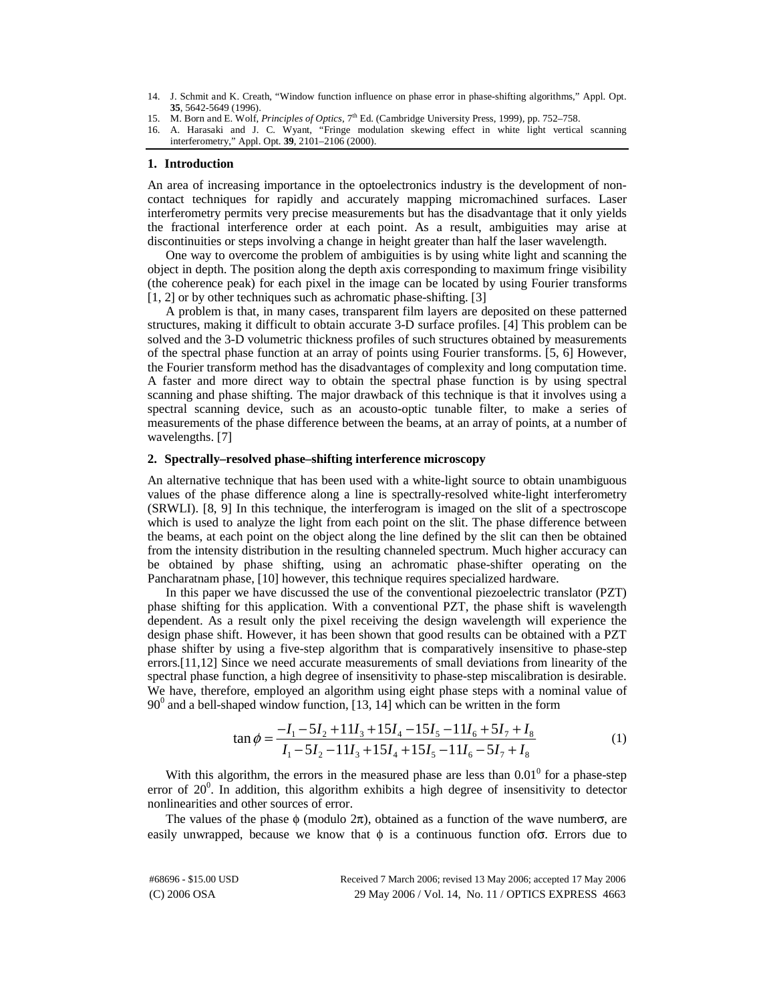- 14. J. Schmit and K. Creath, "Window function influence on phase error in phase-shifting algorithms," Appl. Opt. **35**, 5642-5649 (1996).
- 15. M. Born and E. Wolf, *Principles of Optics*, 7<sup>th</sup> Ed. (Cambridge University Press, 1999), pp. 752-758.
- 16. A. Harasaki and J. C. Wyant, "Fringe modulation skewing effect in white light vertical scanning interferometry," Appl. Opt. **39**, 2101–2106 (2000).

### **1. Introduction**

An area of increasing importance in the optoelectronics industry is the development of noncontact techniques for rapidly and accurately mapping micromachined surfaces. Laser interferometry permits very precise measurements but has the disadvantage that it only yields the fractional interference order at each point. As a result, ambiguities may arise at discontinuities or steps involving a change in height greater than half the laser wavelength.

One way to overcome the problem of ambiguities is by using white light and scanning the object in depth. The position along the depth axis corresponding to maximum fringe visibility (the coherence peak) for each pixel in the image can be located by using Fourier transforms [1, 2] or by other techniques such as achromatic phase-shifting. [3]

A problem is that, in many cases, transparent film layers are deposited on these patterned structures, making it difficult to obtain accurate 3-D surface profiles. [4] This problem can be solved and the 3-D volumetric thickness profiles of such structures obtained by measurements of the spectral phase function at an array of points using Fourier transforms. [5, 6] However, the Fourier transform method has the disadvantages of complexity and long computation time. A faster and more direct way to obtain the spectral phase function is by using spectral scanning and phase shifting. The major drawback of this technique is that it involves using a spectral scanning device, such as an acousto-optic tunable filter, to make a series of measurements of the phase difference between the beams, at an array of points, at a number of wavelengths. [7]

## **2. Spectrally–resolved phase–shifting interference microscopy**

An alternative technique that has been used with a white-light source to obtain unambiguous values of the phase difference along a line is spectrally-resolved white-light interferometry (SRWLI). [8, 9] In this technique, the interferogram is imaged on the slit of a spectroscope which is used to analyze the light from each point on the slit. The phase difference between the beams, at each point on the object along the line defined by the slit can then be obtained from the intensity distribution in the resulting channeled spectrum. Much higher accuracy can be obtained by phase shifting, using an achromatic phase-shifter operating on the Pancharatnam phase, [10] however, this technique requires specialized hardware.

In this paper we have discussed the use of the conventional piezoelectric translator (PZT) phase shifting for this application. With a conventional PZT, the phase shift is wavelength dependent. As a result only the pixel receiving the design wavelength will experience the design phase shift. However, it has been shown that good results can be obtained with a PZT phase shifter by using a five-step algorithm that is comparatively insensitive to phase-step errors.[11,12] Since we need accurate measurements of small deviations from linearity of the spectral phase function, a high degree of insensitivity to phase-step miscalibration is desirable. We have, therefore, employed an algorithm using eight phase steps with a nominal value of  $90<sup>0</sup>$  and a bell-shaped window function, [13, 14] which can be written in the form

$$
\tan \phi = \frac{-I_1 - 5I_2 + 11I_3 + 15I_4 - 15I_5 - 11I_6 + 5I_7 + I_8}{I_1 - 5I_2 - 11I_3 + 15I_4 + 15I_5 - 11I_6 - 5I_7 + I_8}
$$
\n(1)

With this algorithm, the errors in the measured phase are less than  $0.01<sup>0</sup>$  for a phase-step error of  $20^0$ . In addition, this algorithm exhibits a high degree of insensitivity to detector nonlinearities and other sources of error.

The values of the phase  $\phi$  (modulo  $2\pi$ ), obtained as a function of the wave numbero, are easily unwrapped, because we know that  $\phi$  is a continuous function of  $\sigma$ . Errors due to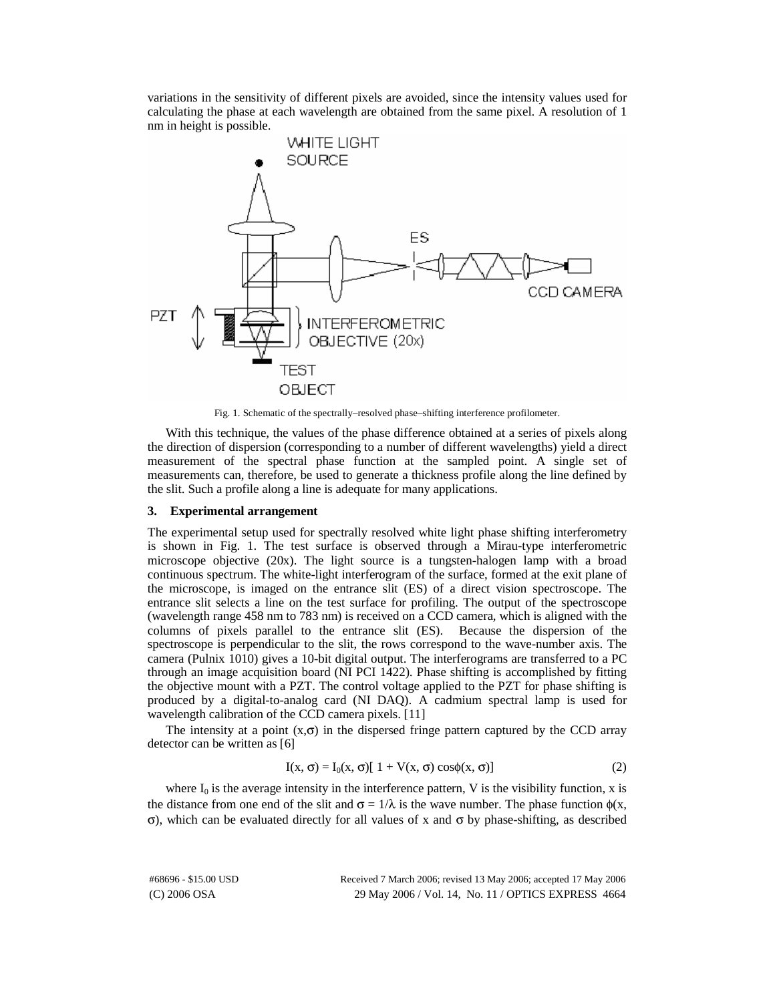variations in the sensitivity of different pixels are avoided, since the intensity values used for calculating the phase at each wavelength are obtained from the same pixel. A resolution of 1 nm in height is possible.



Fig. 1. Schematic of the spectrally–resolved phase–shifting interference profilometer.

With this technique, the values of the phase difference obtained at a series of pixels along the direction of dispersion (corresponding to a number of different wavelengths) yield a direct measurement of the spectral phase function at the sampled point. A single set of measurements can, therefore, be used to generate a thickness profile along the line defined by the slit. Such a profile along a line is adequate for many applications.

## **3. Experimental arrangement**

The experimental setup used for spectrally resolved white light phase shifting interferometry is shown in Fig. 1. The test surface is observed through a Mirau-type interferometric microscope objective  $(20x)$ . The light source is a tungsten-halogen lamp with a broad continuous spectrum. The white-light interferogram of the surface, formed at the exit plane of the microscope, is imaged on the entrance slit (ES) of a direct vision spectroscope. The entrance slit selects a line on the test surface for profiling. The output of the spectroscope (wavelength range 458 nm to 783 nm) is received on a CCD camera, which is aligned with the columns of pixels parallel to the entrance slit (ES). Because the dispersion of the spectroscope is perpendicular to the slit, the rows correspond to the wave-number axis. The camera (Pulnix 1010) gives a 10-bit digital output. The interferograms are transferred to a PC through an image acquisition board (NI PCI 1422). Phase shifting is accomplished by fitting the objective mount with a PZT. The control voltage applied to the PZT for phase shifting is produced by a digital-to-analog card (NI DAQ). A cadmium spectral lamp is used for wavelength calibration of the CCD camera pixels. [11]

The intensity at a point  $(x, \sigma)$  in the dispersed fringe pattern captured by the CCD array detector can be written as [6]

$$
I(x, \sigma) = I_0(x, \sigma)[1 + V(x, \sigma) \cos(\phi(x, \sigma)] \tag{2}
$$

where  $I_0$  is the average intensity in the interference pattern, V is the visibility function, x is the distance from one end of the slit and  $\sigma = 1/\lambda$  is the wave number. The phase function  $\phi(x, \lambda)$ σ), which can be evaluated directly for all values of x and σ by phase-shifting, as described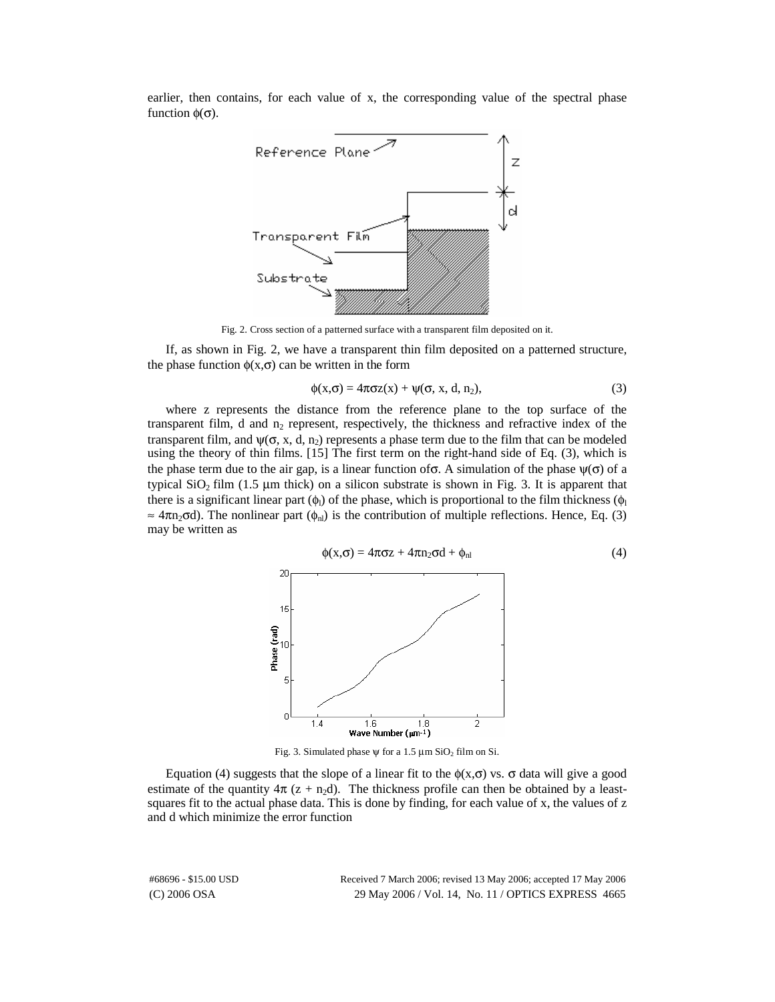earlier, then contains, for each value of x, the corresponding value of the spectral phase function  $\phi(\sigma)$ .



Fig. 2. Cross section of a patterned surface with a transparent film deposited on it.

If, as shown in Fig. 2, we have a transparent thin film deposited on a patterned structure, the phase function  $\phi(x,\sigma)$  can be written in the form

$$
\phi(x,\sigma) = 4\pi\sigma z(x) + \psi(\sigma, x, d, n_2),\tag{3}
$$

where z represents the distance from the reference plane to the top surface of the transparent film, d and  $n_2$  represent, respectively, the thickness and refractive index of the transparent film, and  $\psi(\sigma, x, d, n_2)$  represents a phase term due to the film that can be modeled using the theory of thin films. [15] The first term on the right-hand side of Eq. (3), which is the phase term due to the air gap, is a linear function of  $\sigma$ . A simulation of the phase  $\psi(\sigma)$  of a typical SiO<sub>2</sub> film (1.5 μm thick) on a silicon substrate is shown in Fig. 3. It is apparent that there is a significant linear part  $(\phi_1)$  of the phase, which is proportional to the film thickness  $(\phi_1)$  $\approx$  4 $\pi$ n<sub>2</sub> $\sigma$ d). The nonlinear part ( $\phi_{nl}$ ) is the contribution of multiple reflections. Hence, Eq. (3) may be written as



Fig. 3. Simulated phase  $\psi$  for a 1.5  $\mu$ m SiO<sub>2</sub> film on Si.

Equation (4) suggests that the slope of a linear fit to the  $φ(x,σ)$  vs.  $σ$  data will give a good estimate of the quantity  $4\pi$  (z + n<sub>2</sub>d). The thickness profile can then be obtained by a leastsquares fit to the actual phase data. This is done by finding, for each value of x, the values of z and d which minimize the error function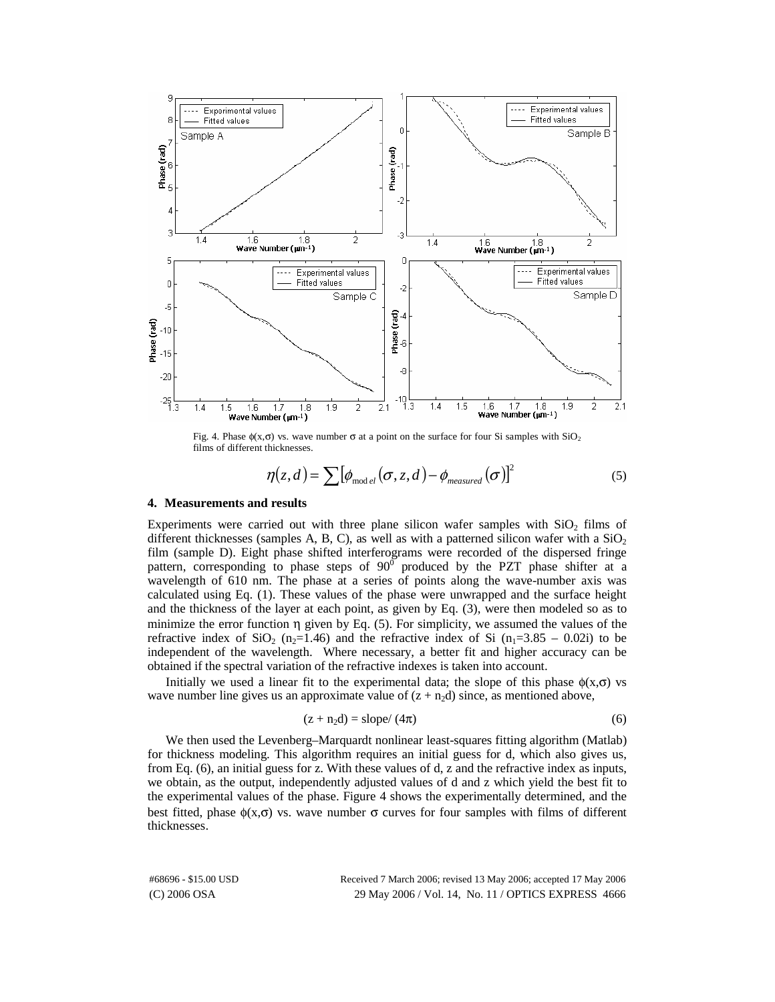

Fig. 4. Phase  $\phi(x, \sigma)$  vs. wave number  $\sigma$  at a point on the surface for four Si samples with SiO<sub>2</sub> films of different thicknesses.

$$
\eta(z,d) = \sum \left[ \phi_{\text{mod }el}(\sigma, z, d) - \phi_{\text{measured}}(\sigma) \right]^2 \tag{5}
$$

## **4. Measurements and results**

Experiments were carried out with three plane silicon wafer samples with  $SiO<sub>2</sub>$  films of different thicknesses (samples A, B, C), as well as with a patterned silicon wafer with a  $SiO<sub>2</sub>$ film (sample D). Eight phase shifted interferograms were recorded of the dispersed fringe pattern, corresponding to phase steps of  $90^\circ$  produced by the PZT phase shifter at a wavelength of 610 nm. The phase at a series of points along the wave-number axis was calculated using Eq. (1). These values of the phase were unwrapped and the surface height and the thickness of the layer at each point, as given by Eq. (3), were then modeled so as to minimize the error function  $\eta$  given by Eq. (5). For simplicity, we assumed the values of the refractive index of SiO<sub>2</sub> (n<sub>2</sub>=1.46) and the refractive index of Si (n<sub>1</sub>=3.85 – 0.02i) to be independent of the wavelength. Where necessary, a better fit and higher accuracy can be obtained if the spectral variation of the refractive indexes is taken into account.

Initially we used a linear fit to the experimental data; the slope of this phase  $\phi(x,\sigma)$  vs wave number line gives us an approximate value of  $(z + n_2d)$  since, as mentioned above,

$$
(z + n2d) = slope/(4\pi)
$$
 (6)

We then used the Levenberg–Marquardt nonlinear least-squares fitting algorithm (Matlab) for thickness modeling. This algorithm requires an initial guess for d, which also gives us, from Eq. (6), an initial guess for z. With these values of d, z and the refractive index as inputs, we obtain, as the output, independently adjusted values of d and z which yield the best fit to the experimental values of the phase. Figure 4 shows the experimentally determined, and the best fitted, phase  $\phi(x,\sigma)$  vs. wave number  $\sigma$  curves for four samples with films of different thicknesses.